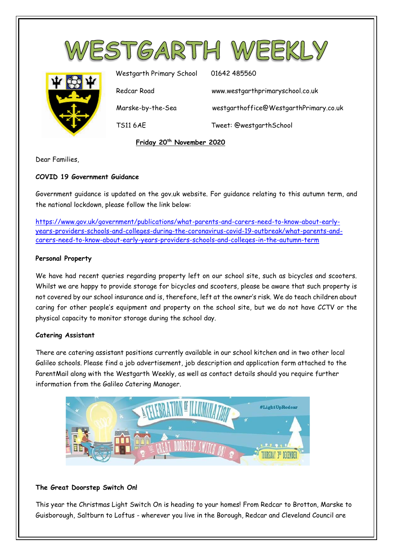

Dear Families,

### **COVID 19 Government Guidance**

Government guidance is updated on the gov.uk website. For guidance relating to this autumn term, and the national lockdown, please follow the link below:

[https://www.gov.uk/government/publications/what-parents-and-carers-need-to-know-about-early](https://www.gov.uk/government/publications/what-parents-and-carers-need-to-know-about-early-years-providers-schools-and-colleges-during-the-coronavirus-covid-19-outbreak/what-parents-and-carers-need-to-know-about-early-years-providers-schools-and-colleges-in-the-autumn-term)[years-providers-schools-and-colleges-during-the-coronavirus-covid-19-outbreak/what-parents-and](https://www.gov.uk/government/publications/what-parents-and-carers-need-to-know-about-early-years-providers-schools-and-colleges-during-the-coronavirus-covid-19-outbreak/what-parents-and-carers-need-to-know-about-early-years-providers-schools-and-colleges-in-the-autumn-term)[carers-need-to-know-about-early-years-providers-schools-and-colleges-in-the-autumn-term](https://www.gov.uk/government/publications/what-parents-and-carers-need-to-know-about-early-years-providers-schools-and-colleges-during-the-coronavirus-covid-19-outbreak/what-parents-and-carers-need-to-know-about-early-years-providers-schools-and-colleges-in-the-autumn-term)

#### **Personal Property**

We have had recent queries regarding property left on our school site, such as bicycles and scooters. Whilst we are happy to provide storage for bicycles and scooters, please be aware that such property is not covered by our school insurance and is, therefore, left at the owner's risk. We do teach children about caring for other people's equipment and property on the school site, but we do not have CCTV or the physical capacity to monitor storage during the school day.

# **Catering Assistant**

There are catering assistant positions currently available in our school kitchen and in two other local Galileo schools. Please find a job advertisement, job description and application form attached to the ParentMail along with the Westgarth Weekly, as well as contact details should you require further information from the Galileo Catering Manager.



# **The Great Doorstep Switch On!**

This year the Christmas Light Switch On is heading to your homes! From Redcar to Brotton, Marske to Guisborough, Saltburn to Loftus - wherever you live in the Borough, Redcar and Cleveland Council are